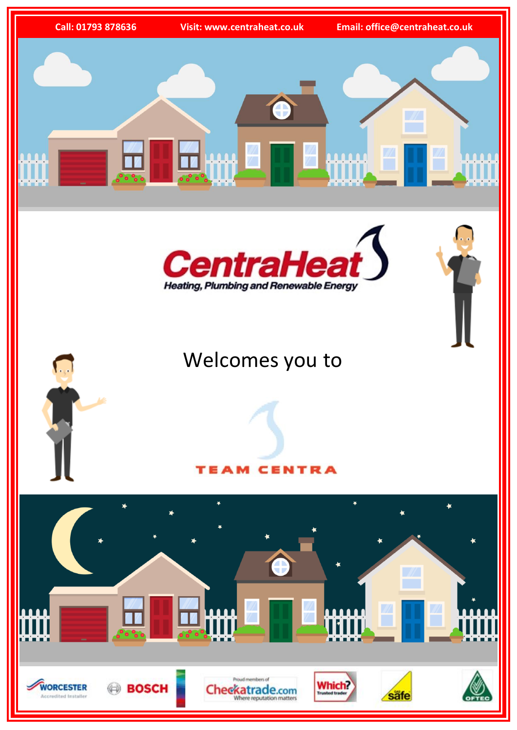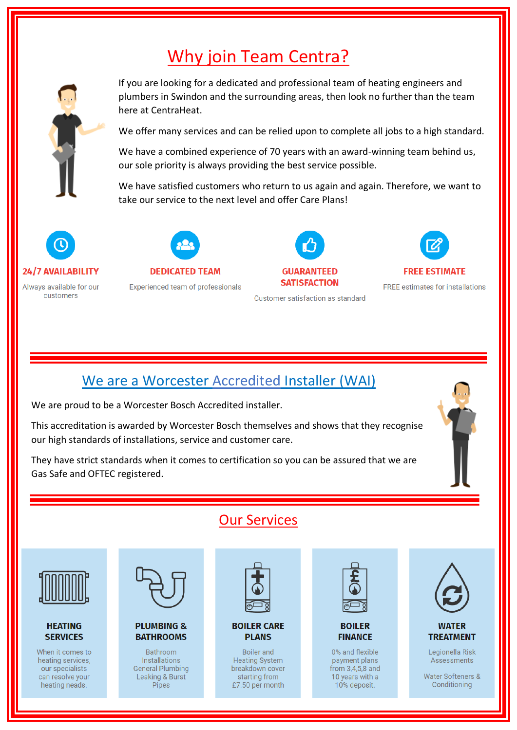# Why join Team Centra?



If you are looking for a dedicated and professional team of heating engineers and plumbers in Swindon and the surrounding areas, then look no further than the team here at CentraHeat.

We offer many services and can be relied upon to complete all jobs to a high standard.

We have a combined experience of 70 years with an award-winning team behind us, our sole priority is always providing the best service possible.

We have satisfied customers who return to us again and again. Therefore, we want to take our service to the next level and offer Care Plans!



Always available for our customers



**Experienced team of professionals** 



**GUARANTEED SATISFACTION** 

Customer satisfaction as standard



**FREE estimates for installations** 

## We are a Worcester Accredited Installer (WAI)

We are proud to be a Worcester Bosch Accredited installer.

This accreditation is awarded by Worcester Bosch themselves and shows that they recognise our high standards of installations, service and customer care.

They have strict standards when it comes to certification so you can be assured that we are Gas Safe and OFTEC registered.



## Our Services



### **HEATING SERVICES**

When it comes to heating services, our specialists can resolve your heating neads.



### **PLUMBING & BATHROOMS**

**Bathroom** Installations **General Plumbing** Leaking & Burst **Pipes** 



### **BOILER CARE PLANS**

**Boiler** and **Heating System** breakdown cover starting from £7.50 per month





0% and flexible payment plans from 3,4,5,8 and 10 years with a 10% deposit.



## **WATER TREATMENT**

Legionella Risk Assessments

**Water Softeners &** Conditioning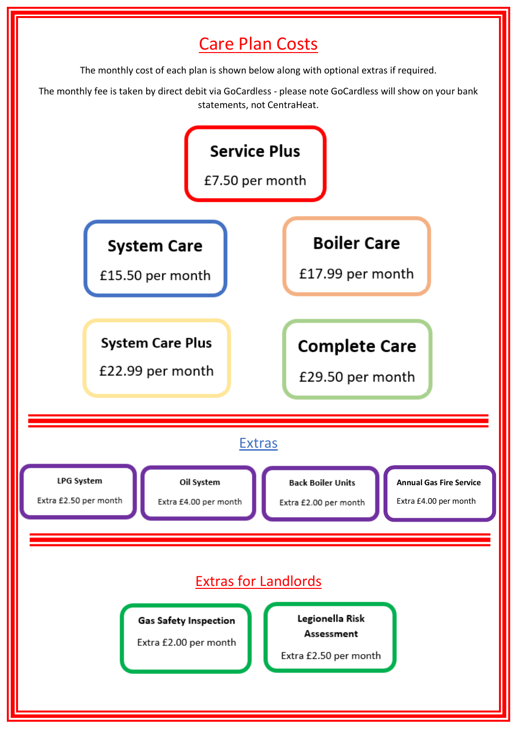# Care Plan Costs

The monthly cost of each plan is shown below along with optional extras if required.

The monthly fee is taken by direct debit via GoCardless - please note GoCardless will show on your bank statements, not CentraHeat.

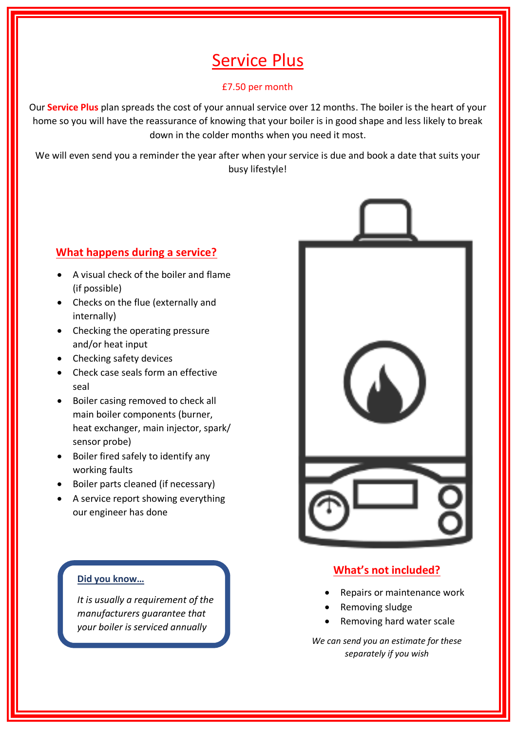# Service Plus

### £7.50 per month

Our **Service Plus** plan spreads the cost of your annual service over 12 months. The boiler is the heart of your home so you will have the reassurance of knowing that your boiler is in good shape and less likely to break down in the colder months when you need it most.

We will even send you a reminder the year after when your service is due and book a date that suits your busy lifestyle!

## **What happens during a service?**

- A visual check of the boiler and flame (if possible)
- Checks on the flue (externally and internally)
- Checking the operating pressure and/or heat input
- Checking safety devices

j

- Check case seals form an effective seal
- Boiler casing removed to check all main boiler components (burner, heat exchanger, main injector, spark/ sensor probe)
- Boiler fired safely to identify any working faults
- Boiler parts cleaned (if necessary)
- A service report showing everything our engineer has done



## **What's not included?**

- Repairs or maintenance work
- Removing sludge
- Removing hard water scale

*We can send you an estimate for these separately if you wish*

### **Did you know…**

*It is usually a requirement of the manufacturers guarantee that your boiler is serviced annually*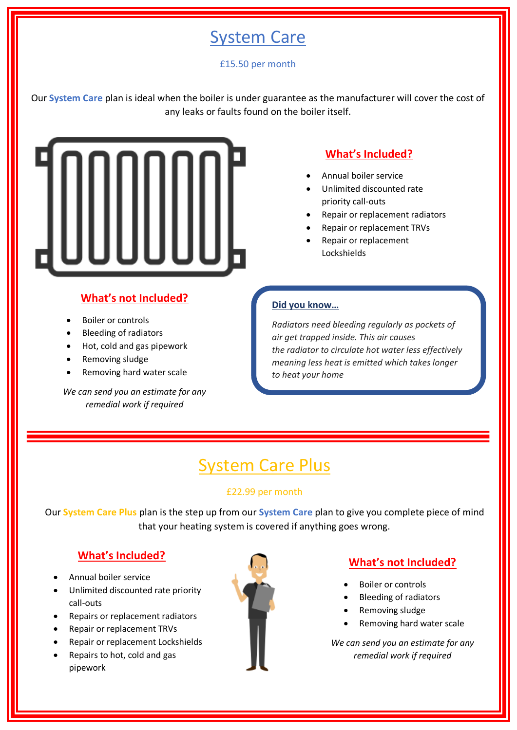## System Care

## £15.50 per month

Our **System Care** plan is ideal when the boiler is under guarantee as the manufacturer will cover the cost of any leaks or faults found on the boiler itself.



## **What's Included?**

- Annual boiler service
- Unlimited discounted rate priority call-outs
- Repair or replacement radiators
- Repair or replacement TRVs
- Repair or replacement Lockshields

## **What's not Included?**

- Boiler or controls
- Bleeding of radiators
- Hot, cold and gas pipework
- Removing sludge
- Removing hard water scale

*We can send you an estimate for any remedial work if required*

## **Did you know…**

*Radiators need bleeding regularly as pockets of air get trapped inside. This air causes the radiator to circulate hot water less effectively meaning less heat is emitted which takes longer to heat your home*

# **System Care Plus**

## £22.99 per month

Our **System Care Plus** plan is the step up from our **System Care** plan to give you complete piece of mind that your heating system is covered if anything goes wrong.

## **What's Included?**

- Annual boiler service
- Unlimited discounted rate priority call-outs
- Repairs or replacement radiators
- Repair or replacement TRVs
- Repair or replacement Lockshields
- Repairs to hot, cold and gas pipework



## **What's not Included?**

- Boiler or controls
- Bleeding of radiators
- Removing sludge
- Removing hard water scale

*We can send you an estimate for any remedial work if required*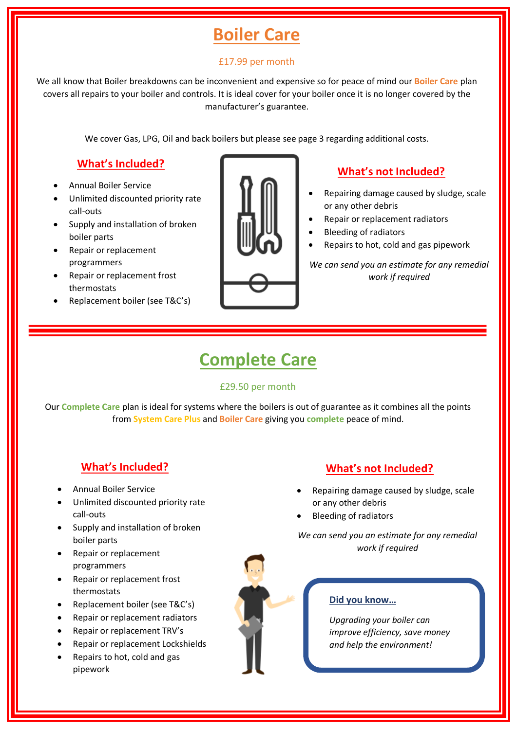# **Boiler Care**

## £17.99 per month

We all know that Boiler breakdowns can be inconvenient and expensive so for peace of mind our **Boiler Care** plan covers all repairs to your boiler and controls. It is ideal cover for your boiler once it is no longer covered by the manufacturer's guarantee.

We cover Gas, LPG, Oil and back boilers but please see page 3 regarding additional costs.

## **What's Included?**

- Annual Boiler Service
- Unlimited discounted priority rate call-outs
- Supply and installation of broken boiler parts
- Repair or replacement programmers
- Repair or replacement frost thermostats
- Replacement boiler (see T&C's)



## **What's not Included?**

- Repairing damage caused by sludge, scale or any other debris
- Repair or replacement radiators
- Bleeding of radiators
- Repairs to hot, cold and gas pipework

*We can send you an estimate for any remedial work if required*

## **Complete Care**

### £29.50 per month

Our **Complete Care** plan is ideal for systems where the boilers is out of guarantee as it combines all the points from **System Care Plus** and **Boiler Care** giving you **complete** peace of mind.

## **What's Included?**

- Annual Boiler Service
- Unlimited discounted priority rate call-outs
- Supply and installation of broken boiler parts
- Repair or replacement programmers
- Repair or replacement frost thermostats
- Replacement boiler (see T&C's)
- Repair or replacement radiators
- Repair or replacement TRV's
- Repair or replacement Lockshields
- Repairs to hot, cold and gas pipework

## **What's not Included?**

- Repairing damage caused by sludge, scale or any other debris
- Bleeding of radiators

*We can send you an estimate for any remedial work if required*



## **Did you know…**

*Upgrading your boiler can improve efficiency, save money and help the environment!*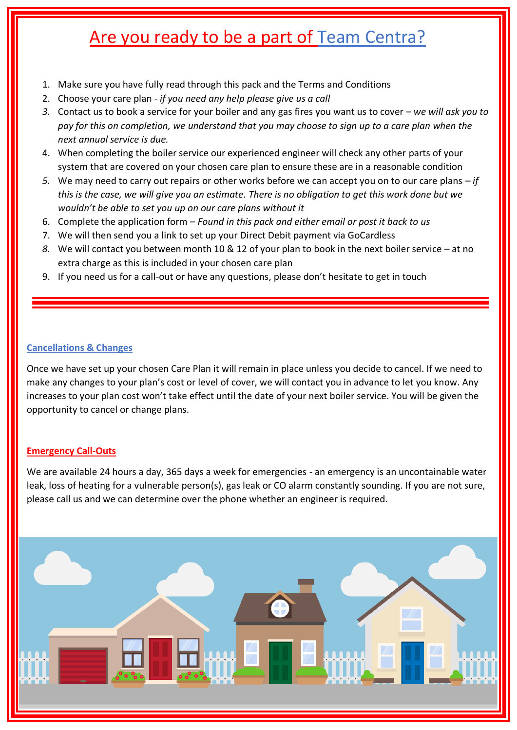# Are you ready to be a part of Team Centra?

- 1. Make sure you have fully read through this pack and the Terms and Conditions
- 2. Choose your care plan *if you need any help please give us a call*
- *3.* Contact us to book a service for your boiler and any gas fires you want us to cover *– we will ask you to pay for this on completion, we understand that you may choose to sign up to a care plan when the next annual service is due.*
- 4. When completing the boiler service our experienced engineer will check any other parts of your system that are covered on your chosen care plan to ensure these are in a reasonable condition
- *5.* We may need to carry out repairs or other works before we can accept you on to our care plans *– if this is the case, we will give you an estimate. There is no obligation to get this work done but we wouldn't be able to set you up on our care plans without it*
- 6. Complete the application form *Found in this pack and either email or post it back to us*
- 7. We will then send you a link to set up your Direct Debit payment via GoCardless
- *8.* We will contact you between month 10 & 12 of your plan to book in the next boiler service at no extra charge as this is included in your chosen care plan
- 9. If you need us for a call-out or have any questions, please don't hesitate to get in touch

## **Cancellations & Changes**

Once we have set up your chosen Care Plan it will remain in place unless you decide to cancel. If we need to make any changes to your plan's cost or level of cover, we will contact you in advance to let you know. Any increases to your plan cost won't take effect until the date of your next boiler service. You will be given the opportunity to cancel or change plans.

## **Emergency Call-Outs**

We are available 24 hours a day, 365 days a week for emergencies - an emergency is an uncontainable water leak, loss of heating for a vulnerable person(s), gas leak or CO alarm constantly sounding. If you are not sure, please call us and we can determine over the phone whether an engineer is required.

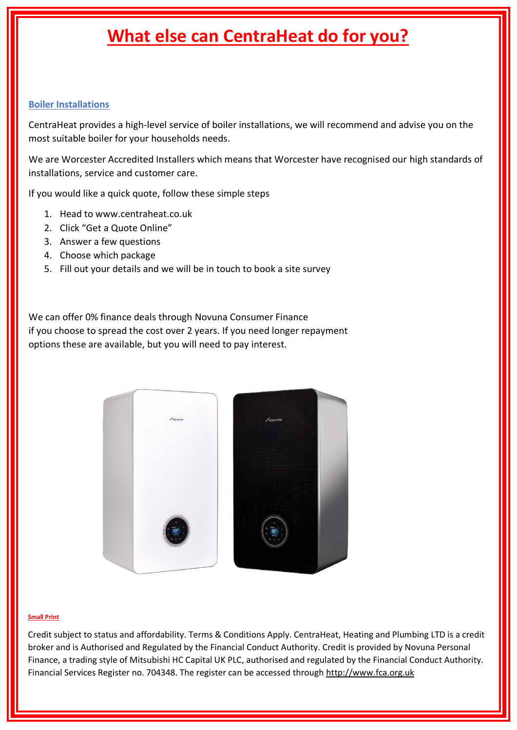# **What else can CentraHeat do for you?**

### **Boiler Installations**

CentraHeat provides a high-level service of boiler installations, we will recommend and advise you on the most suitable boiler for your households needs.

We are Worcester Accredited Installers which means that Worcester have recognised our high standards of installations, service and customer care.

If you would like a quick quote, follow these simple steps

- 1. Head to www.centraheat.co.uk
- 2. Click "Get a Quote Online"
- 3. Answer a few questions
- 4. Choose which package
- 5. Fill out your details and we will be in touch to book a site survey

We can offer 0% finance deals through Novuna Consumer Finance if you choose to spread the cost over 2 years. If you need longer repayment options these are available, but you will need to pay interest.



#### **Small Print**

Credit subject to status and affordability. Terms & Conditions Apply. CentraHeat, Heating and Plumbing LTD is a credit broker and is Authorised and Regulated by the Financial Conduct Authority. Credit is provided by Novuna Personal Finance, a trading style of Mitsubishi HC Capital UK PLC, authorised and regulated by the Financial Conduct Authority. Financial Services Register no. 704348. The register can be accessed through [http://www.fca.org.uk](http://www.fca.org.uk/)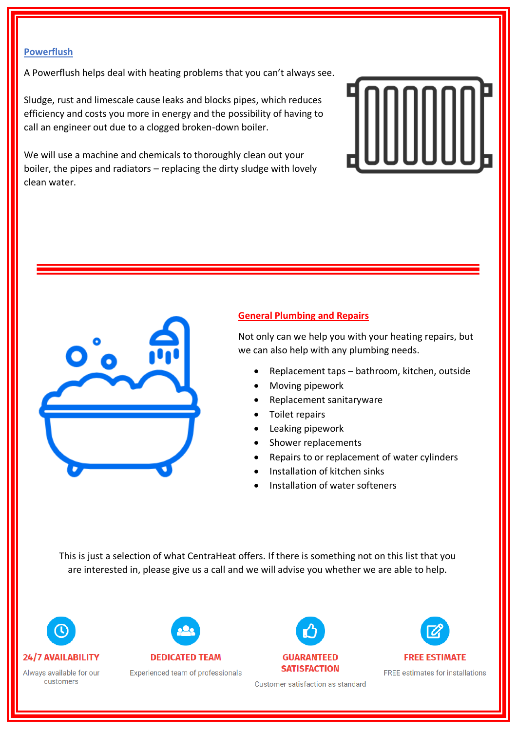### **Powerflush**

A Powerflush helps deal with heating problems that you can't always see.

Sludge, rust and limescale cause leaks and blocks pipes, which reduces efficiency and costs you more in energy and the possibility of having to call an engineer out due to a clogged broken-down boiler.

We will use a machine and chemicals to thoroughly clean out your boiler, the pipes and radiators – replacing the dirty sludge with lovely clean water.





### **General Plumbing and Repairs**

Not only can we help you with your heating repairs, but we can also help with any plumbing needs.

- Replacement taps bathroom, kitchen, outside
- Moving pipework
- Replacement sanitaryware
- Toilet repairs
- Leaking pipework
- Shower replacements
- Repairs to or replacement of water cylinders
- Installation of kitchen sinks
- Installation of water softeners

This is just a selection of what CentraHeat offers. If there is something not on this list that you are interested in, please give us a call and we will advise you whether we are able to help.



Always available for our customers



Experienced team of professionals



**FREE ESTIMATE FREE estimates for installations** 

Customer satisfaction as standard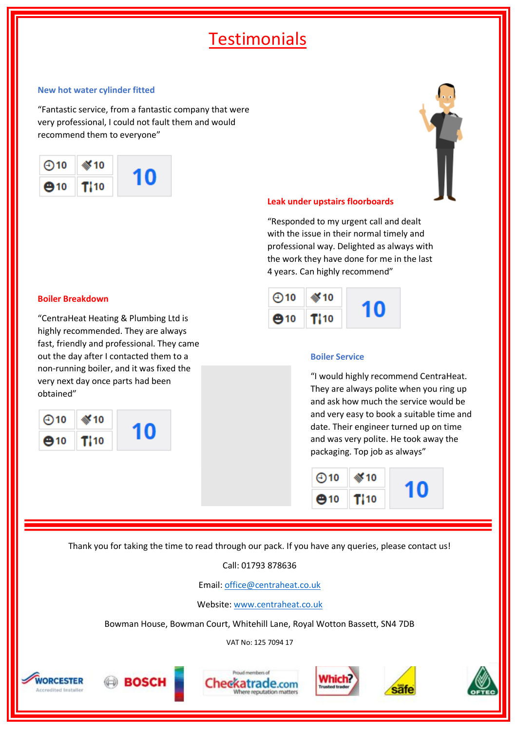# **Testimonials**

#### **New hot water cylinder fitted**

"Fantastic service, from a fantastic company that were very professional, I could not fault them and would recommend them to everyone"





#### **Leak under upstairs floorboards**

"Responded to my urgent call and dealt with the issue in their normal timely and professional way. Delighted as always with the work they have done for me in the last 4 years. Can highly recommend"



#### **Boiler Service**

"I would highly recommend CentraHeat. They are always polite when you ring up and ask how much the service would be and very easy to book a suitable time and date. Their engineer turned up on time and was very polite. He took away the packaging. Top job as always"



Thank you for taking the time to read through our pack. If you have any queries, please contact us!

### Call: 01793 878636

Email: [office@centraheat.co.uk](mailto:office@centraheat.co.uk)

Website[: www.centraheat.co.uk](http://www.centraheat.co.uk/)

Bowman House, Bowman Court, Whitehill Lane, Royal Wotton Bassett, SN4 7DB

VAT No: 125 7094 17











sate

#### **Boiler Breakdown**

"CentraHeat Heating & Plumbing Ltd is highly recommended. They are always fast, friendly and professional. They came out the day after I contacted them to a non-running boiler, and it was fixed the very next day once parts had been obtained"



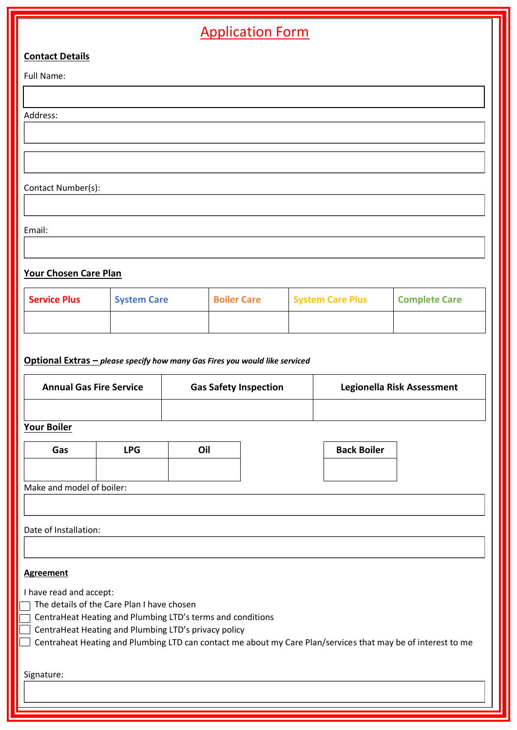| <b>Application Form</b>                     |                                                            |     |                                                                             |  |                            |                      |
|---------------------------------------------|------------------------------------------------------------|-----|-----------------------------------------------------------------------------|--|----------------------------|----------------------|
| <b>Contact Details</b>                      |                                                            |     |                                                                             |  |                            |                      |
| Full Name:                                  |                                                            |     |                                                                             |  |                            |                      |
|                                             |                                                            |     |                                                                             |  |                            |                      |
| Address:                                    |                                                            |     |                                                                             |  |                            |                      |
|                                             |                                                            |     |                                                                             |  |                            |                      |
|                                             |                                                            |     |                                                                             |  |                            |                      |
| Contact Number(s):                          |                                                            |     |                                                                             |  |                            |                      |
|                                             |                                                            |     |                                                                             |  |                            |                      |
| Email:                                      |                                                            |     |                                                                             |  |                            |                      |
|                                             |                                                            |     |                                                                             |  |                            |                      |
| Your Chosen Care Plan                       |                                                            |     |                                                                             |  |                            |                      |
| <b>Service Plus</b>                         | <b>System Care</b>                                         |     | <b>Boiler Care</b>                                                          |  | <b>System Care Plus</b>    | <b>Complete Care</b> |
|                                             |                                                            |     |                                                                             |  |                            |                      |
|                                             |                                                            |     |                                                                             |  |                            |                      |
|                                             |                                                            |     | Optional Extras - please specify how many Gas Fires you would like serviced |  |                            |                      |
| <b>Annual Gas Fire Service</b>              |                                                            |     | <b>Gas Safety Inspection</b>                                                |  | Legionella Risk Assessment |                      |
|                                             |                                                            |     |                                                                             |  |                            |                      |
| <b>Your Boiler</b>                          |                                                            |     |                                                                             |  |                            |                      |
| <b>LPG</b><br>Gas                           |                                                            | Oil |                                                                             |  | <b>Back Boiler</b>         |                      |
|                                             |                                                            |     |                                                                             |  |                            |                      |
| Make and model of boiler:                   |                                                            |     |                                                                             |  |                            |                      |
|                                             |                                                            |     |                                                                             |  |                            |                      |
| Date of Installation:                       |                                                            |     |                                                                             |  |                            |                      |
|                                             |                                                            |     |                                                                             |  |                            |                      |
| <b>Agreement</b><br>I have read and accept: |                                                            |     |                                                                             |  |                            |                      |
|                                             | The details of the Care Plan I have chosen                 |     |                                                                             |  |                            |                      |
|                                             | CentraHeat Heating and Plumbing LTD's terms and conditions |     |                                                                             |  |                            |                      |

 $\Box$  CentraHeat Heating and Plumbing LTD's privacy policy

Centraheat Heating and Plumbing LTD can contact me about my Care Plan/services that may be of interest to me

Signature: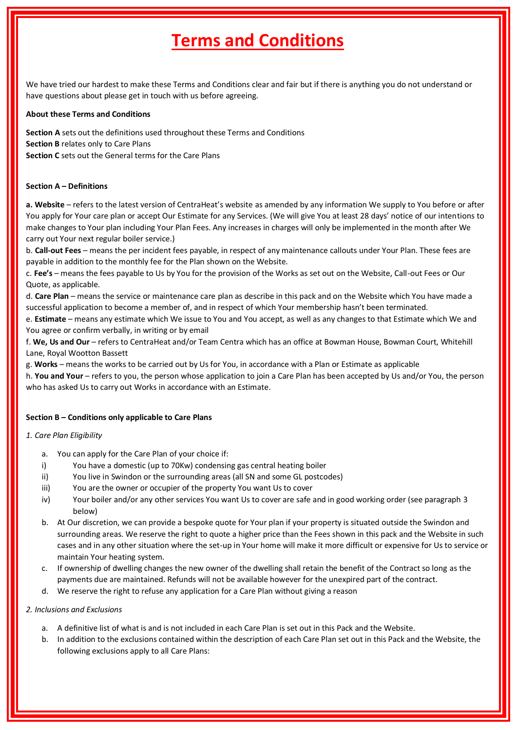# **Terms and Conditions**

We have tried our hardest to make these Terms and Conditions clear and fair but if there is anything you do not understand or have questions about please get in touch with us before agreeing.

#### **About these Terms and Conditions**

**Section A** sets out the definitions used throughout these Terms and Conditions **Section B** relates only to Care Plans **Section C** sets out the General terms for the Care Plans

#### **Section A – Definitions**

**a. Website** – refers to the latest version of CentraHeat's website as amended by any information We supply to You before or after You apply for Your care plan or accept Our Estimate for any Services. (We will give You at least 28 days' notice of our intentions to make changes to Your plan including Your Plan Fees. Any increases in charges will only be implemented in the month after We carry out Your next regular boiler service.)

b. **Call-out Fees** – means the per incident fees payable, in respect of any maintenance callouts under Your Plan. These fees are payable in addition to the monthly fee for the Plan shown on the Website.

c. **Fee's** – means the fees payable to Us by You for the provision of the Works as set out on the Website, Call-out Fees or Our Quote, as applicable.

d. **Care Plan** – means the service or maintenance care plan as describe in this pack and on the Website which You have made a successful application to become a member of, and in respect of which Your membership hasn't been terminated.

e. **Estimate** – means any estimate which We issue to You and You accept, as well as any changes to that Estimate which We and You agree or confirm verbally, in writing or by email

f. **We, Us and Our** – refers to CentraHeat and/or Team Centra which has an office at Bowman House, Bowman Court, Whitehill Lane, Royal Wootton Bassett

g. **Works** – means the works to be carried out by Us for You, in accordance with a Plan or Estimate as applicable

h. **You and Your** – refers to you, the person whose application to join a Care Plan has been accepted by Us and/or You, the person who has asked Us to carry out Works in accordance with an Estimate.

#### **Section B – Conditions only applicable to Care Plans**

#### *1. Care Plan Eligibility*

- a. You can apply for the Care Plan of your choice if:
- i) You have a domestic (up to 70Kw) condensing gas central heating boiler
- ii) You live in Swindon or the surrounding areas (all SN and some GL postcodes)
- iii) You are the owner or occupier of the property You want Us to cover
- iv) Your boiler and/or any other services You want Us to cover are safe and in good working order (see paragraph 3 below)
- b. At Our discretion, we can provide a bespoke quote for Your plan if your property is situated outside the Swindon and surrounding areas. We reserve the right to quote a higher price than the Fees shown in this pack and the Website in such cases and in any other situation where the set-up in Your home will make it more difficult or expensive for Us to service or maintain Your heating system.
- c. If ownership of dwelling changes the new owner of the dwelling shall retain the benefit of the Contract so long as the payments due are maintained. Refunds will not be available however for the unexpired part of the contract.
- d. We reserve the right to refuse any application for a Care Plan without giving a reason

#### *2. Inclusions and Exclusions*

- a. A definitive list of what is and is not included in each Care Plan is set out in this Pack and the Website.
- b. In addition to the exclusions contained within the description of each Care Plan set out in this Pack and the Website, the following exclusions apply to all Care Plans: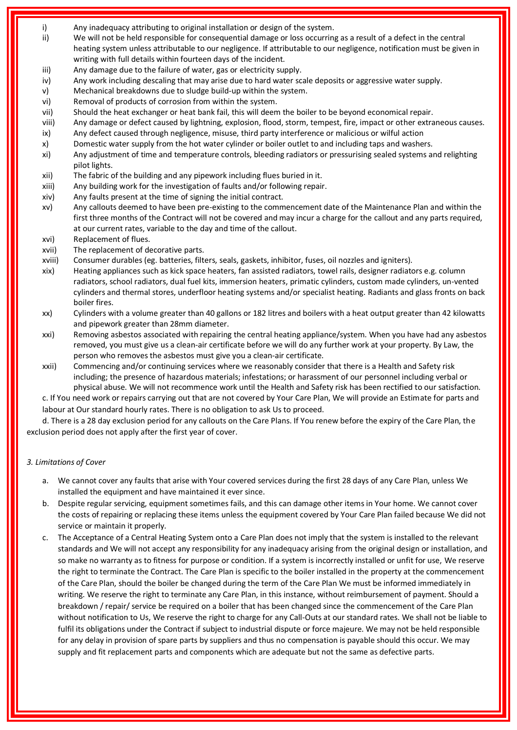- i) Any inadequacy attributing to original installation or design of the system.
- ii) We will not be held responsible for consequential damage or loss occurring as a result of a defect in the central heating system unless attributable to our negligence. If attributable to our negligence, notification must be given in writing with full details within fourteen days of the incident.
- iii) Any damage due to the failure of water, gas or electricity supply.
- iv) Any work including descaling that may arise due to hard water scale deposits or aggressive water supply.
- v) Mechanical breakdowns due to sludge build-up within the system.
- vi) Removal of products of corrosion from within the system.
- vii) Should the heat exchanger or heat bank fail, this will deem the boiler to be beyond economical repair.
- viii) Any damage or defect caused by lightning, explosion, flood, storm, tempest, fire, impact or other extraneous causes. ix) Any defect caused through negligence, misuse, third party interference or malicious or wilful action
- x) Domestic water supply from the hot water cylinder or boiler outlet to and including taps and washers.
- xi) Any adjustment of time and temperature controls, bleeding radiators or pressurising sealed systems and relighting pilot lights.
- xii) The fabric of the building and any pipework including flues buried in it.
- xiii) Any building work for the investigation of faults and/or following repair.
- xiv) Any faults present at the time of signing the initial contract.
- xv) Any callouts deemed to have been pre-existing to the commencement date of the Maintenance Plan and within the first three months of the Contract will not be covered and may incur a charge for the callout and any parts required, at our current rates, variable to the day and time of the callout.
- xvi) Replacement of flues.
- xvii) The replacement of decorative parts.
- xviii) Consumer durables (eg. batteries, filters, seals, gaskets, inhibitor, fuses, oil nozzles and igniters).
- xix) Heating appliances such as kick space heaters, fan assisted radiators, towel rails, designer radiators e.g. column radiators, school radiators, dual fuel kits, immersion heaters, primatic cylinders, custom made cylinders, un-vented cylinders and thermal stores, underfloor heating systems and/or specialist heating. Radiants and glass fronts on back boiler fires.
- xx) Cylinders with a volume greater than 40 gallons or 182 litres and boilers with a heat output greater than 42 kilowatts and pipework greater than 28mm diameter.
- xxi) Removing asbestos associated with repairing the central heating appliance/system. When you have had any asbestos removed, you must give us a clean-air certificate before we will do any further work at your property. By Law, the person who removes the asbestos must give you a clean-air certificate.
- xxii) Commencing and/or continuing services where we reasonably consider that there is a Health and Safety risk including; the presence of hazardous materials; infestations; or harassment of our personnel including verbal or physical abuse. We will not recommence work until the Health and Safety risk has been rectified to our satisfaction.

c. If You need work or repairs carrying out that are not covered by Your Care Plan, We will provide an Estimate for parts and labour at Our standard hourly rates. There is no obligation to ask Us to proceed.

d. There is a 28 day exclusion period for any callouts on the Care Plans. If You renew before the expiry of the Care Plan, the exclusion period does not apply after the first year of cover.

### *3. Limitations of Cover*

- a. We cannot cover any faults that arise with Your covered services during the first 28 days of any Care Plan, unless We installed the equipment and have maintained it ever since.
- b. Despite regular servicing, equipment sometimes fails, and this can damage other items in Your home. We cannot cover the costs of repairing or replacing these items unless the equipment covered by Your Care Plan failed because We did not service or maintain it properly.
- c. The Acceptance of a Central Heating System onto a Care Plan does not imply that the system is installed to the relevant standards and We will not accept any responsibility for any inadequacy arising from the original design or installation, and so make no warranty as to fitness for purpose or condition. If a system is incorrectly installed or unfit for use, We reserve the right to terminate the Contract. The Care Plan is specific to the boiler installed in the property at the commencement of the Care Plan, should the boiler be changed during the term of the Care Plan We must be informed immediately in writing. We reserve the right to terminate any Care Plan, in this instance, without reimbursement of payment. Should a breakdown / repair/ service be required on a boiler that has been changed since the commencement of the Care Plan without notification to Us, We reserve the right to charge for any Call-Outs at our standard rates. We shall not be liable to fulfil its obligations under the Contract if subject to industrial dispute or force majeure. We may not be held responsible for any delay in provision of spare parts by suppliers and thus no compensation is payable should this occur. We may supply and fit replacement parts and components which are adequate but not the same as defective parts.